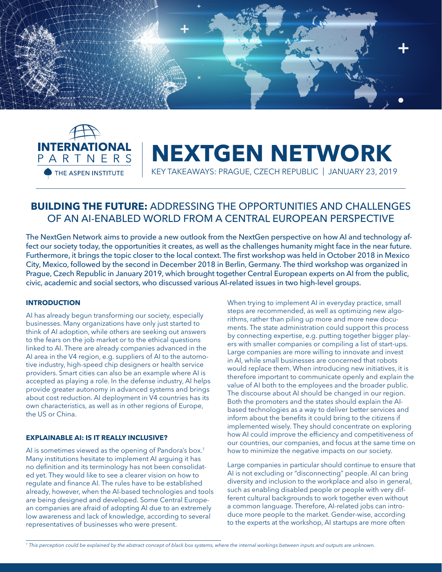



# **NEXTGEN NETWORK**

KEY TAKEAWAYS: PRAGUE, CZECH REPUBLIC | JANUARY 23, 2019

# **BUILDING THE FUTURE:** ADDRESSING THE OPPORTUNITIES AND CHALLENGES OF AN AI-ENABLED WORLD FROM A CENTRAL EUROPEAN PERSPECTIVE

The NextGen Network aims to provide a new outlook from the NextGen perspective on how AI and technology affect our society today, the opportunities it creates, as well as the challenges humanity might face in the near future. Furthermore, it brings the topic closer to the local context. The first workshop was held in October 2018 in Mexico City, Mexico, followed by the second in December 2018 in Berlin, Germany. The third workshop was organized in Prague, Czech Republic in January 2019, which brought together Central European experts on AI from the public, civic, academic and social sectors, who discussed various AI-related issues in two high-level groups.

# **INTRODUCTION**

AI has already begun transforming our society, especially businesses. Many organizations have only just started to think of AI adoption, while others are seeking out answers to the fears on the job market or to the ethical questions linked to AI. There are already companies advanced in the AI area in the V4 region, e.g. suppliers of AI to the automotive industry, high-speed chip designers or health service providers. Smart cities can also be an example where AI is accepted as playing a role. In the defense industry, AI helps provide greater autonomy in advanced systems and brings about cost reduction. AI deployment in V4 countries has its own characteristics, as well as in other regions of Europe, the US or China.

## **EXPLAINABLE AI: IS IT REALLY INCLUSIVE?**

AI is sometimes viewed as the opening of Pandora's box.<sup>1</sup> Many institutions hesitate to implement AI arguing it has no definition and its terminology has not been consolidated yet. They would like to see a clearer vision on how to regulate and finance AI. The rules have to be established already, however, when the AI-based technologies and tools are being designed and developed. Some Central European companies are afraid of adopting AI due to an extremely low awareness and lack of knowledge, according to several representatives of businesses who were present.

When trying to implement AI in everyday practice, small steps are recommended, as well as optimizing new algorithms, rather than piling up more and more new documents. The state administration could support this process by connecting expertise, e.g. putting together bigger players with smaller companies or compiling a list of start-ups. Large companies are more willing to innovate and invest in AI, while small businesses are concerned that robots would replace them. When introducing new initiatives, it is therefore important to communicate openly and explain the value of AI both to the employees and the broader public. The discourse about AI should be changed in our region. Both the promoters and the states should explain the AIbased technologies as a way to deliver better services and inform about the benefits it could bring to the citizens if implemented wisely. They should concentrate on exploring how AI could improve the efficiency and competitiveness of our countries, our companies, and focus at the same time on how to minimize the negative impacts on our society.

Large companies in particular should continue to ensure that AI is not excluding or "disconnecting" people. AI can bring diversity and inclusion to the workplace and also in general, such as enabling disabled people or people with very different cultural backgrounds to work together even without a common language. Therefore, AI-related jobs can introduce more people to the market. Gender-wise, according to the experts at the workshop, AI startups are more often

<sup>1</sup> *This perception could be explained by the abstract concept of black box systems, where the internal workings between inputs and outputs are unknown.*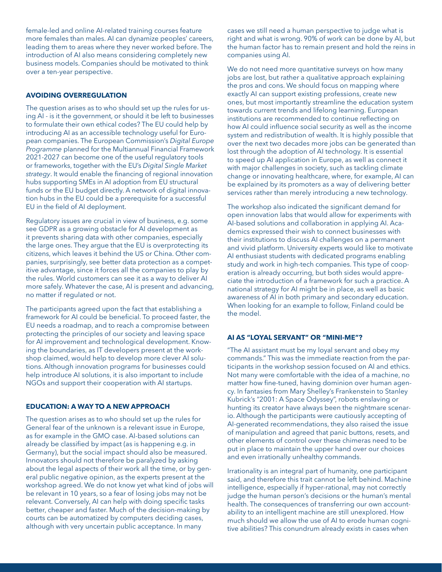female-led and online AI-related training courses feature more females than males. AI can dynamize peoples' careers, leading them to areas where they never worked before. The introduction of AI also means considering completely new business models. Companies should be motivated to think over a ten-year perspective.

# **AVOIDING OVERREGULATION**

The question arises as to who should set up the rules for using AI - is it the government, or should it be left to businesses to formulate their own ethical codes? The EU could help by introducing AI as an accessible technology useful for European companies. The European Commission's *Digital Europe Programme* planned for the Multiannual Financial Framework 2021-2027 can become one of the useful regulatory tools or frameworks, together with the EU's *Digital Single Market strategy*. It would enable the financing of regional innovation hubs supporting SMEs in AI adoption from EU structural funds or the EU budget directly. A network of digital innovation hubs in the EU could be a prerequisite for a successful EU in the field of AI deployment.

Regulatory issues are crucial in view of business, e.g. some see GDPR as a growing obstacle for AI development as it prevents sharing data with other companies, especially the large ones. They argue that the EU is overprotecting its citizens, which leaves it behind the US or China. Other companies, surprisingly, see better data protection as a competitive advantage, since it forces all the companies to play by the rules. World customers can see it as a way to deliver AI more safely. Whatever the case, AI is present and advancing, no matter if regulated or not.

The participants agreed upon the fact that establishing a framework for AI could be beneficial. To proceed faster, the EU needs a roadmap, and to reach a compromise between protecting the principles of our society and leaving space for AI improvement and technological development. Knowing the boundaries, as IT developers present at the workshop claimed, would help to develop more clever AI solutions. Although innovation programs for businesses could help introduce AI solutions, it is also important to include NGOs and support their cooperation with AI startups.

#### **EDUCATION: A WAY TO A NEW APPROACH**

The question arises as to who should set up the rules for General fear of the unknown is a relevant issue in Europe, as for example in the GMO case. AI-based solutions can already be classified by impact (as is happening e.g. in Germany), but the social impact should also be measured. Innovators should not therefore be paralyzed by asking about the legal aspects of their work all the time, or by general public negative opinion, as the experts present at the workshop agreed. We do not know yet what kind of jobs will be relevant in 10 years, so a fear of losing jobs may not be relevant. Conversely, AI can help with doing specific tasks better, cheaper and faster. Much of the decision-making by courts can be automatized by computers deciding cases, although with very uncertain public acceptance. In many

cases we still need a human perspective to judge what is right and what is wrong. 90% of work can be done by AI, but the human factor has to remain present and hold the reins in companies using AI.

We do not need more quantitative surveys on how many jobs are lost, but rather a qualitative approach explaining the pros and cons. We should focus on mapping where exactly AI can support existing professions, create new ones, but most importantly streamline the education system towards current trends and lifelong learning. European institutions are recommended to continue reflecting on how AI could influence social security as well as the income system and redistribution of wealth. It is highly possible that over the next two decades more jobs can be generated than lost through the adoption of AI technology. It is essential to speed up AI application in Europe, as well as connect it with major challenges in society, such as tackling climate change or innovating healthcare, where, for example, AI can be explained by its promoters as a way of delivering better services rather than merely introducing a new technology.

The workshop also indicated the significant demand for open innovation labs that would allow for experiments with AI-based solutions and collaboration in applying AI. Academics expressed their wish to connect businesses with their institutions to discuss AI challenges on a permanent and vivid platform. University experts would like to motivate AI enthusiast students with dedicated programs enabling study and work in high-tech companies. This type of cooperation is already occurring, but both sides would appreciate the introduction of a framework for such a practice. A national strategy for AI might be in place, as well as basic awareness of AI in both primary and secondary education. When looking for an example to follow, Finland could be the model.

## **AI AS "LOYAL SERVANT" OR "MINI-ME"?**

"The AI assistant must be my loyal servant and obey my commands." This was the immediate reaction from the participants in the workshop session focused on AI and ethics. Not many were comfortable with the idea of a machine, no matter how fine-tuned, having dominion over human agency. In fantasies from Mary Shelley's Frankenstein to Stanley Kubrick's "2001: A Space Odyssey", robots enslaving or hunting its creator have always been the nightmare scenario. Although the participants were cautiously accepting of AI-generated recommendations, they also raised the issue of manipulation and agreed that panic buttons, resets, and other elements of control over these chimeras need to be put in place to maintain the upper hand over our choices and even irrationally unhealthy commands.

Irrationality is an integral part of humanity, one participant said, and therefore this trait cannot be left behind. Machine intelligence, especially if hyper-rational, may not correctly judge the human person's decisions or the human's mental health. The consequences of transferring our own accountability to an intelligent machine are still unexplored. How much should we allow the use of AI to erode human cognitive abilities? This conundrum already exists in cases when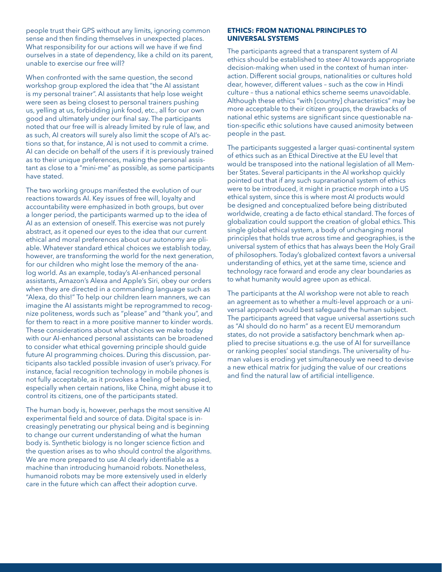people trust their GPS without any limits, ignoring common sense and then finding themselves in unexpected places. What responsibility for our actions will we have if we find ourselves in a state of dependency, like a child on its parent, unable to exercise our free will?

When confronted with the same question, the second workshop group explored the idea that "the AI assistant is my personal trainer". AI assistants that help lose weight were seen as being closest to personal trainers pushing us, yelling at us, forbidding junk food, etc., all for our own good and ultimately under our final say. The participants noted that our free will is already limited by rule of law, and as such, AI creators will surely also limit the scope of AI's actions so that, for instance, AI is not used to commit a crime. AI can decide on behalf of the users if it is previously trained as to their unique preferences, making the personal assistant as close to a "mini-me" as possible, as some participants have stated.

The two working groups manifested the evolution of our reactions towards AI. Key issues of free will, loyalty and accountability were emphasized in both groups, but over a longer period, the participants warmed up to the idea of AI as an extension of oneself. This exercise was not purely abstract, as it opened our eyes to the idea that our current ethical and moral preferences about our autonomy are pliable. Whatever standard ethical choices we establish today, however, are transforming the world for the next generation, for our children who might lose the memory of the analog world. As an example, today's AI-enhanced personal assistants, Amazon's Alexa and Apple's Siri, obey our orders when they are directed in a commanding language such as "Alexa, do this!" To help our children learn manners, we can imagine the AI assistants might be reprogrammed to recognize politeness, words such as "please" and "thank you", and for them to react in a more positive manner to kinder words. These considerations about what choices we make today with our AI-enhanced personal assistants can be broadened to consider what ethical governing principle should guide future AI programming choices. During this discussion, participants also tackled possible invasion of user's privacy. For instance, facial recognition technology in mobile phones is not fully acceptable, as it provokes a feeling of being spied, especially when certain nations, like China, might abuse it to control its citizens, one of the participants stated.

The human body is, however, perhaps the most sensitive AI experimental field and source of data. Digital space is increasingly penetrating our physical being and is beginning to change our current understanding of what the human body is. Synthetic biology is no longer science fiction and the question arises as to who should control the algorithms. We are more prepared to use AI clearly identifiable as a machine than introducing humanoid robots. Nonetheless, humanoid robots may be more extensively used in elderly care in the future which can affect their adoption curve.

#### **ETHICS: FROM NATIONAL PRINCIPLES TO UNIVERSAL SYSTEMS**

The participants agreed that a transparent system of AI ethics should be established to steer AI towards appropriate decision-making when used in the context of human interaction. Different social groups, nationalities or cultures hold dear, however, different values – such as the cow in Hindi culture – thus a national ethics scheme seems unavoidable. Although these ethics "with [country] characteristics" may be more acceptable to their citizen groups, the drawbacks of national ethic systems are significant since questionable nation-specific ethic solutions have caused animosity between people in the past.

The participants suggested a larger quasi-continental system of ethics such as an Ethical Directive at the EU level that would be transposed into the national legislation of all Member States. Several participants in the AI workshop quickly pointed out that if any such supranational system of ethics were to be introduced, it might in practice morph into a US ethical system, since this is where most AI products would be designed and conceptualized before being distributed worldwide, creating a de facto ethical standard. The forces of globalization could support the creation of global ethics. This single global ethical system, a body of unchanging moral principles that holds true across time and geographies, is the universal system of ethics that has always been the Holy Grail of philosophers. Today's globalized context favors a universal understanding of ethics, yet at the same time, science and technology race forward and erode any clear boundaries as to what humanity would agree upon as ethical.

The participants at the AI workshop were not able to reach an agreement as to whether a multi-level approach or a universal approach would best safeguard the human subject. The participants agreed that vague universal assertions such as "AI should do no harm" as a recent EU memorandum states, do not provide a satisfactory benchmark when applied to precise situations e.g. the use of AI for surveillance or ranking peoples' social standings. The universality of human values is eroding yet simultaneously we need to devise a new ethical matrix for judging the value of our creations and find the natural law of artificial intelligence.